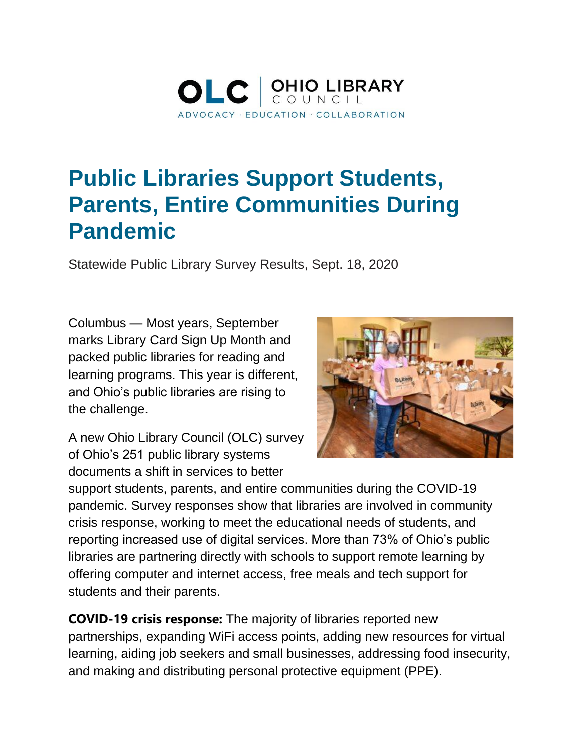

## **Public Libraries Support Students, Parents, Entire Communities During Pandemic**

Statewide Public Library Survey Results, Sept. 18, 2020

Columbus — Most years, September marks Library Card Sign Up Month and packed public libraries for reading and learning programs. This year is different, and Ohio's public libraries are rising to the challenge.



A new Ohio Library Council (OLC) survey of Ohio's 251 public library systems documents a shift in services to better

support students, parents, and entire communities during the COVID-19 pandemic. Survey responses show that libraries are involved in community crisis response, working to meet the educational needs of students, and reporting increased use of digital services. More than 73% of Ohio's public libraries are partnering directly with schools to support remote learning by offering computer and internet access, free meals and tech support for students and their parents.

**COVID-19 crisis response:** The majority of libraries reported new partnerships, expanding WiFi access points, adding new resources for virtual learning, aiding job seekers and small businesses, addressing food insecurity, and making and distributing personal protective equipment (PPE).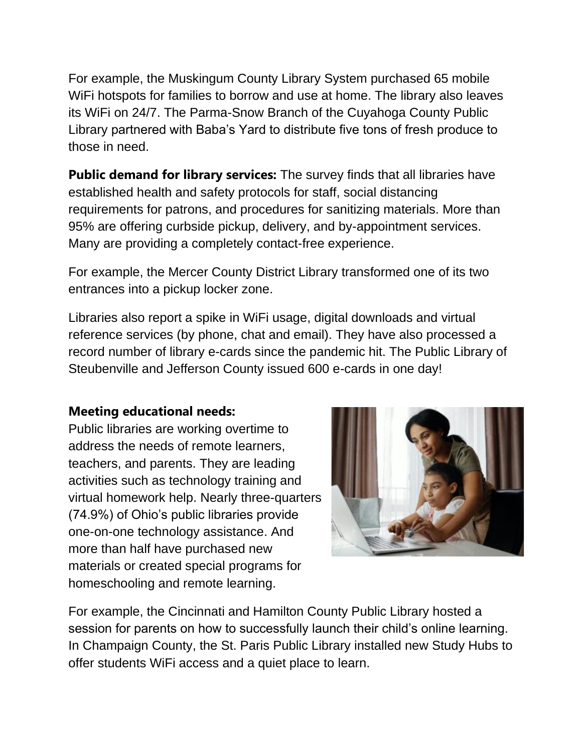For example, the Muskingum County Library System purchased 65 mobile WiFi hotspots for families to borrow and use at home. The library also leaves its WiFi on 24/7. The Parma-Snow Branch of the Cuyahoga County Public Library partnered with Baba's Yard to distribute five tons of fresh produce to those in need.

**Public demand for library services:** The survey finds that all libraries have established health and safety protocols for staff, social distancing requirements for patrons, and procedures for sanitizing materials. More than 95% are offering curbside pickup, delivery, and by-appointment services. Many are providing a completely contact-free experience.

For example, the Mercer County District Library transformed one of its two entrances into a pickup locker zone.

Libraries also report a spike in WiFi usage, digital downloads and virtual reference services (by phone, chat and email). They have also processed a record number of library e-cards since the pandemic hit. The Public Library of Steubenville and Jefferson County issued 600 e-cards in one day!

## **Meeting educational needs:**

Public libraries are working overtime to address the needs of remote learners, teachers, and parents. They are leading activities such as technology training and virtual homework help. Nearly three-quarters (74.9%) of Ohio's public libraries provide one-on-one technology assistance. And more than half have purchased new materials or created special programs for homeschooling and remote learning.



For example, the Cincinnati and Hamilton County Public Library hosted a session for parents on how to successfully launch their child's online learning. In Champaign County, the St. Paris Public Library installed new Study Hubs to offer students WiFi access and a quiet place to learn.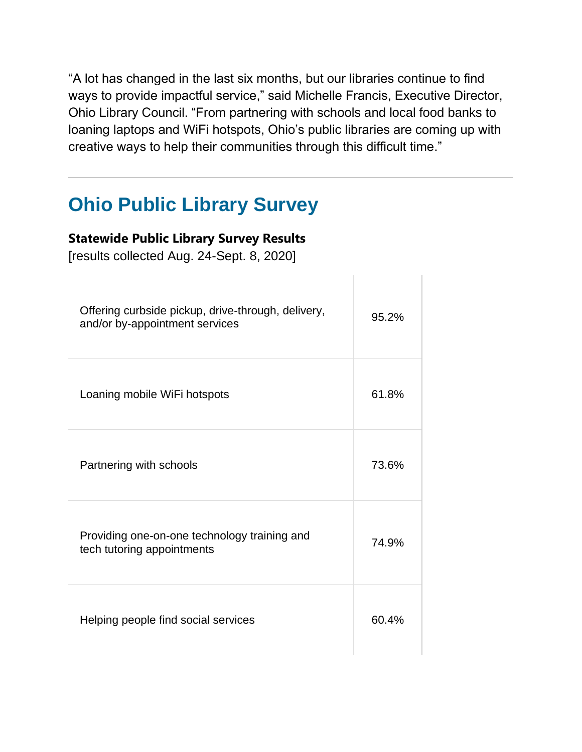"A lot has changed in the last six months, but our libraries continue to find ways to provide impactful service," said Michelle Francis, Executive Director, Ohio Library Council. "From partnering with schools and local food banks to loaning laptops and WiFi hotspots, Ohio's public libraries are coming up with creative ways to help their communities through this difficult time."

## **Ohio Public Library Survey**

## **Statewide Public Library Survey Results**

[results collected Aug. 24-Sept. 8, 2020]

| Offering curbside pickup, drive-through, delivery,<br>and/or by-appointment services | 95.2% |
|--------------------------------------------------------------------------------------|-------|
| Loaning mobile WiFi hotspots                                                         | 61.8% |
| Partnering with schools                                                              | 73.6% |
| Providing one-on-one technology training and<br>tech tutoring appointments           | 74.9% |
| Helping people find social services                                                  | 60.4% |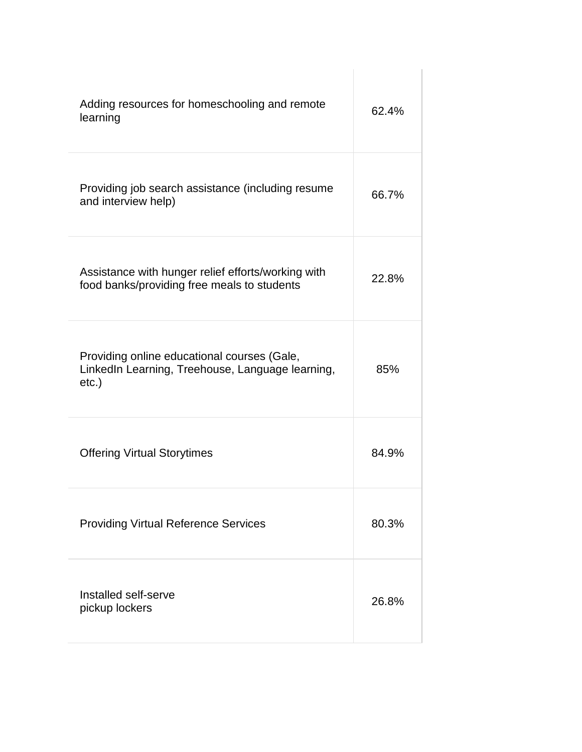| Adding resources for homeschooling and remote<br>learning                                                   | 62.4% |
|-------------------------------------------------------------------------------------------------------------|-------|
| Providing job search assistance (including resume<br>and interview help)                                    | 66.7% |
| Assistance with hunger relief efforts/working with<br>food banks/providing free meals to students           | 22.8% |
| Providing online educational courses (Gale,<br>LinkedIn Learning, Treehouse, Language learning,<br>$etc.$ ) | 85%   |
| <b>Offering Virtual Storytimes</b>                                                                          | 84.9% |
| <b>Providing Virtual Reference Services</b>                                                                 | 80.3% |
| Installed self-serve<br>pickup lockers                                                                      | 26.8% |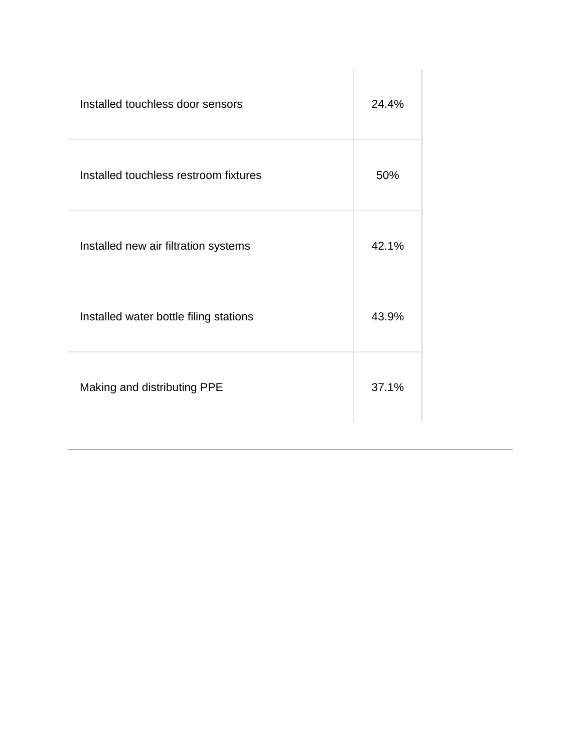| Installed touchless door sensors       | 24.4% |
|----------------------------------------|-------|
| Installed touchless restroom fixtures  | 50%   |
| Installed new air filtration systems   | 42.1% |
| Installed water bottle filing stations | 43.9% |
| Making and distributing PPE            | 37.1% |